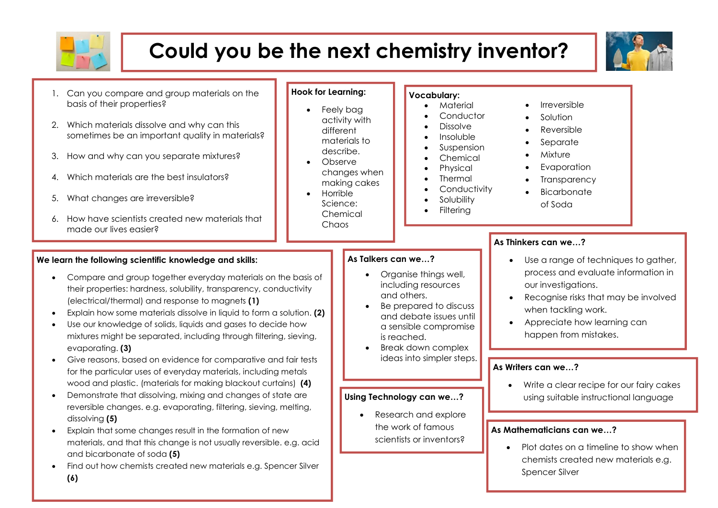

# **Could you be the next chemistry inventor?**



- 1. Can you compare and group materials on the basis of their properties?
- 2. Which materials dissolve and why can this sometimes be an important quality in materials?
- 3. How and why can you separate mixtures?
- 4. Which materials are the best insulators?
- 5. What changes are irreversible?
- 6. How have scientists created new materials that made our lives easier?

#### **We learn the following scientific knowledge and skills:**

- Compare and group together everyday materials on the basis of their properties: hardness, solubility, transparency, conductivity (electrical/thermal) and response to magnets **(1)**
- Explain how some materials dissolve in liquid to form a solution. **(2)**
- Use our knowledge of solids, liquids and gases to decide how mixtures might be separated, including through filtering, sieving, evaporating. **(3)**
- Give reasons, based on evidence for comparative and fair tests for the particular uses of everyday materials, including metals wood and plastic. (materials for making blackout curtains) **(4)**
- Demonstrate that dissolving, mixing and changes of state are reversible changes. e.g. evaporating, filtering, sieving, melting, dissolving **(5)**
- Explain that some changes result in the formation of new materials, and that this change is not usually reversible. e.g. acid and bicarbonate of soda **(5)**
- Find out how chemists created new materials e.g. Spencer Silver **(6)**

### **Hook for Learning:**

- Feely bag activity with different materials to describe.
- Observe changes when making cakes
- **Horrible** Science: Chemical Chaos

#### **Vocabulary:**

- Material
- Conductor
- Dissolve
- Insoluble
- Suspension **Chemical**
- **Physical**
- **Thermal**
- **Conductivity**
- **Solubility**
- **Filtering**
- **Irreversible**
- Solution
- Reversible
- **Separate**
- **Mixture**
- **Evaporation**
- **Transparency**
- **Bicarbonate**

# **As Thinkers can we…?**

# **As Talkers can we…?**

- Organise things well, including resources and others.
- Be prepared to discuss and debate issues until a sensible compromise is reached.
- Break down complex ideas into simpler steps.

#### **Using Technology can we…?**

• Research and explore the work of famous scientists or inventors?

- Use a range of techniques to gather, process and evaluate information in our investigations.
- Recognise risks that may be involved when tackling work.
- Appreciate how learning can happen from mistakes.

### **As Writers can we…?**

Write a clear recipe for our fairy cakes using suitable instructional language

#### **As Mathematicians can we…?**

• Plot dates on a timeline to show when chemists created new materials e.g. Spencer Silver

- - of Soda